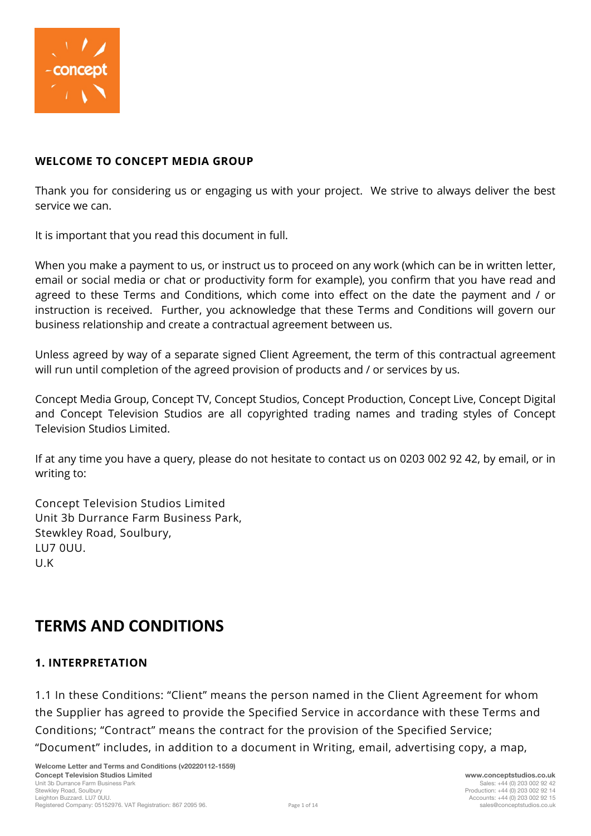

### **WELCOME TO CONCEPT MEDIA GROUP**

Thank you for considering us or engaging us with your project. We strive to always deliver the best service we can.

It is important that you read this document in full.

When you make a payment to us, or instruct us to proceed on any work (which can be in written letter, email or social media or chat or productivity form for example), you confirm that you have read and agreed to these Terms and Conditions, which come into effect on the date the payment and / or instruction is received. Further, you acknowledge that these Terms and Conditions will govern our business relationship and create a contractual agreement between us.

Unless agreed by way of a separate signed Client Agreement, the term of this contractual agreement will run until completion of the agreed provision of products and / or services by us.

Concept Media Group, Concept TV, Concept Studios, Concept Production, Concept Live, Concept Digital and Concept Television Studios are all copyrighted trading names and trading styles of Concept Television Studios Limited.

If at any time you have a query, please do not hesitate to contact us on 0203 002 92 42, by email, or in writing to:

Concept Television Studios Limited Unit 3b Durrance Farm Business Park, Stewkley Road, Soulbury, LU7 0UU. U.K

# **TERMS AND CONDITIONS**

# **1. INTERPRETATION**

1.1 In these Conditions: "Client" means the person named in the Client Agreement for whom the Supplier has agreed to provide the Specified Service in accordance with these Terms and Conditions; "Contract" means the contract for the provision of the Specified Service; "Document" includes, in addition to a document in Writing, email, advertising copy, a map,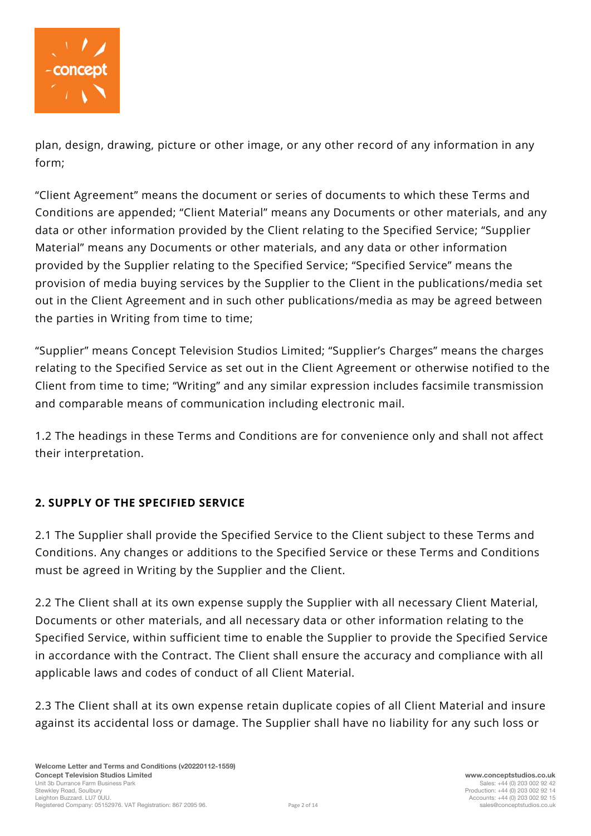

plan, design, drawing, picture or other image, or any other record of any information in any form;

"Client Agreement" means the document or series of documents to which these Terms and Conditions are appended; "Client Material" means any Documents or other materials, and any data or other information provided by the Client relating to the Specified Service; "Supplier Material" means any Documents or other materials, and any data or other information provided by the Supplier relating to the Specified Service; "Specified Service" means the provision of media buying services by the Supplier to the Client in the publications/media set out in the Client Agreement and in such other publications/media as may be agreed between the parties in Writing from time to time;

"Supplier" means Concept Television Studios Limited; "Supplier's Charges" means the charges relating to the Specified Service as set out in the Client Agreement or otherwise notified to the Client from time to time; "Writing" and any similar expression includes facsimile transmission and comparable means of communication including electronic mail.

1.2 The headings in these Terms and Conditions are for convenience only and shall not affect their interpretation.

# **2. SUPPLY OF THE SPECIFIED SERVICE**

2.1 The Supplier shall provide the Specified Service to the Client subject to these Terms and Conditions. Any changes or additions to the Specified Service or these Terms and Conditions must be agreed in Writing by the Supplier and the Client.

2.2 The Client shall at its own expense supply the Supplier with all necessary Client Material, Documents or other materials, and all necessary data or other information relating to the Specified Service, within sufficient time to enable the Supplier to provide the Specified Service in accordance with the Contract. The Client shall ensure the accuracy and compliance with all applicable laws and codes of conduct of all Client Material.

2.3 The Client shall at its own expense retain duplicate copies of all Client Material and insure against its accidental loss or damage. The Supplier shall have no liability for any such loss or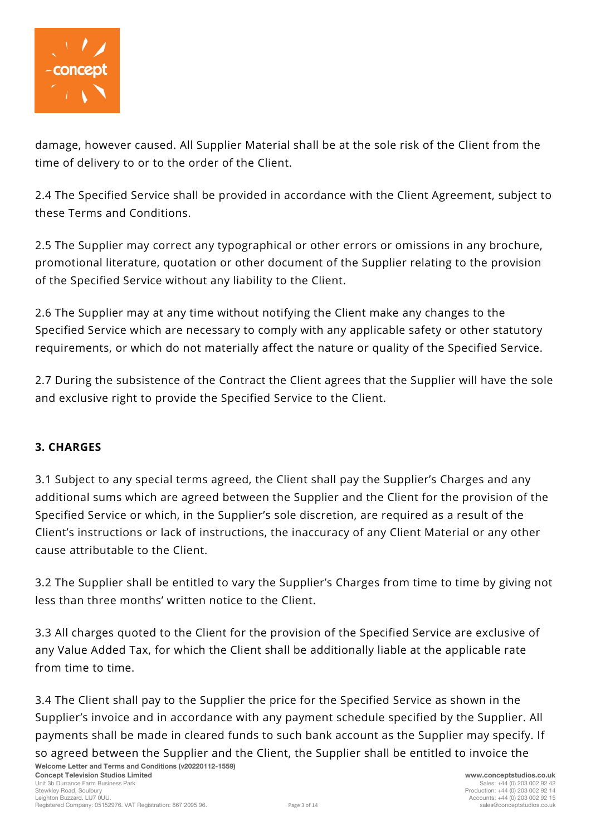

damage, however caused. All Supplier Material shall be at the sole risk of the Client from the time of delivery to or to the order of the Client.

2.4 The Specified Service shall be provided in accordance with the Client Agreement, subject to these Terms and Conditions.

2.5 The Supplier may correct any typographical or other errors or omissions in any brochure, promotional literature, quotation or other document of the Supplier relating to the provision of the Specified Service without any liability to the Client.

2.6 The Supplier may at any time without notifying the Client make any changes to the Specified Service which are necessary to comply with any applicable safety or other statutory requirements, or which do not materially affect the nature or quality of the Specified Service.

2.7 During the subsistence of the Contract the Client agrees that the Supplier will have the sole and exclusive right to provide the Specified Service to the Client.

# **3. CHARGES**

3.1 Subject to any special terms agreed, the Client shall pay the Supplier's Charges and any additional sums which are agreed between the Supplier and the Client for the provision of the Specified Service or which, in the Supplier's sole discretion, are required as a result of the Client's instructions or lack of instructions, the inaccuracy of any Client Material or any other cause attributable to the Client.

3.2 The Supplier shall be entitled to vary the Supplier's Charges from time to time by giving not less than three months' written notice to the Client.

3.3 All charges quoted to the Client for the provision of the Specified Service are exclusive of any Value Added Tax, for which the Client shall be additionally liable at the applicable rate from time to time.

**Welcome Letter and Terms and Conditions (v20220112-1559)** 3.4 The Client shall pay to the Supplier the price for the Specified Service as shown in the Supplier's invoice and in accordance with any payment schedule specified by the Supplier. All payments shall be made in cleared funds to such bank account as the Supplier may specify. If so agreed between the Supplier and the Client, the Supplier shall be entitled to invoice the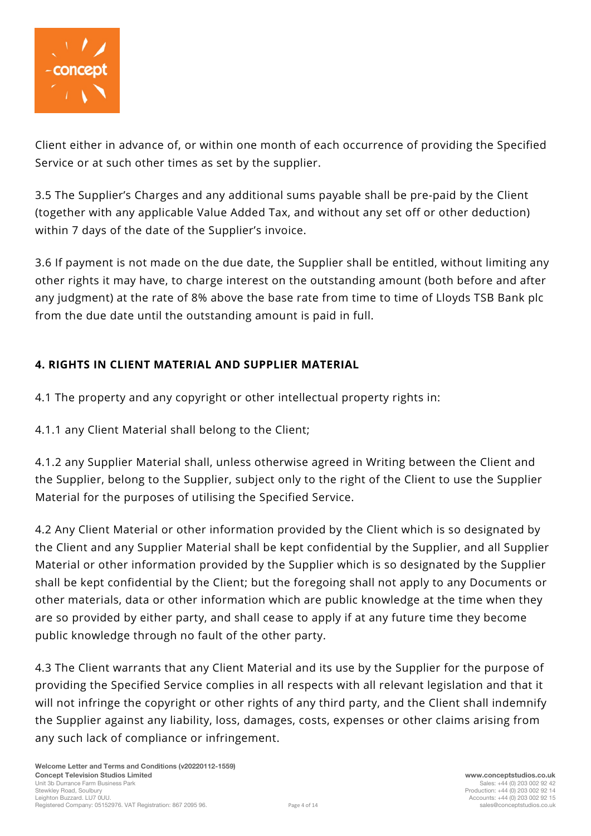

Client either in advance of, or within one month of each occurrence of providing the Specified Service or at such other times as set by the supplier.

3.5 The Supplier's Charges and any additional sums payable shall be pre-paid by the Client (together with any applicable Value Added Tax, and without any set off or other deduction) within 7 days of the date of the Supplier's invoice.

3.6 If payment is not made on the due date, the Supplier shall be entitled, without limiting any other rights it may have, to charge interest on the outstanding amount (both before and after any judgment) at the rate of 8% above the base rate from time to time of Lloyds TSB Bank plc from the due date until the outstanding amount is paid in full.

# **4. RIGHTS IN CLIENT MATERIAL AND SUPPLIER MATERIAL**

- 4.1 The property and any copyright or other intellectual property rights in:
- 4.1.1 any Client Material shall belong to the Client;

4.1.2 any Supplier Material shall, unless otherwise agreed in Writing between the Client and the Supplier, belong to the Supplier, subject only to the right of the Client to use the Supplier Material for the purposes of utilising the Specified Service.

4.2 Any Client Material or other information provided by the Client which is so designated by the Client and any Supplier Material shall be kept confidential by the Supplier, and all Supplier Material or other information provided by the Supplier which is so designated by the Supplier shall be kept confidential by the Client; but the foregoing shall not apply to any Documents or other materials, data or other information which are public knowledge at the time when they are so provided by either party, and shall cease to apply if at any future time they become public knowledge through no fault of the other party.

4.3 The Client warrants that any Client Material and its use by the Supplier for the purpose of providing the Specified Service complies in all respects with all relevant legislation and that it will not infringe the copyright or other rights of any third party, and the Client shall indemnify the Supplier against any liability, loss, damages, costs, expenses or other claims arising from any such lack of compliance or infringement.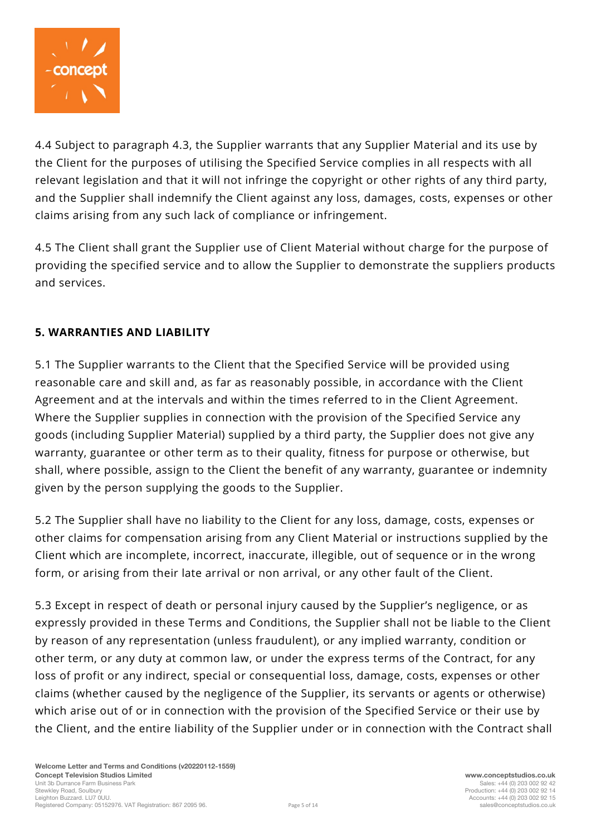

4.4 Subject to paragraph 4.3, the Supplier warrants that any Supplier Material and its use by the Client for the purposes of utilising the Specified Service complies in all respects with all relevant legislation and that it will not infringe the copyright or other rights of any third party, and the Supplier shall indemnify the Client against any loss, damages, costs, expenses or other claims arising from any such lack of compliance or infringement.

4.5 The Client shall grant the Supplier use of Client Material without charge for the purpose of providing the specified service and to allow the Supplier to demonstrate the suppliers products and services.

# **5. WARRANTIES AND LIABILITY**

5.1 The Supplier warrants to the Client that the Specified Service will be provided using reasonable care and skill and, as far as reasonably possible, in accordance with the Client Agreement and at the intervals and within the times referred to in the Client Agreement. Where the Supplier supplies in connection with the provision of the Specified Service any goods (including Supplier Material) supplied by a third party, the Supplier does not give any warranty, guarantee or other term as to their quality, fitness for purpose or otherwise, but shall, where possible, assign to the Client the benefit of any warranty, guarantee or indemnity given by the person supplying the goods to the Supplier.

5.2 The Supplier shall have no liability to the Client for any loss, damage, costs, expenses or other claims for compensation arising from any Client Material or instructions supplied by the Client which are incomplete, incorrect, inaccurate, illegible, out of sequence or in the wrong form, or arising from their late arrival or non arrival, or any other fault of the Client.

5.3 Except in respect of death or personal injury caused by the Supplier's negligence, or as expressly provided in these Terms and Conditions, the Supplier shall not be liable to the Client by reason of any representation (unless fraudulent), or any implied warranty, condition or other term, or any duty at common law, or under the express terms of the Contract, for any loss of profit or any indirect, special or consequential loss, damage, costs, expenses or other claims (whether caused by the negligence of the Supplier, its servants or agents or otherwise) which arise out of or in connection with the provision of the Specified Service or their use by the Client, and the entire liability of the Supplier under or in connection with the Contract shall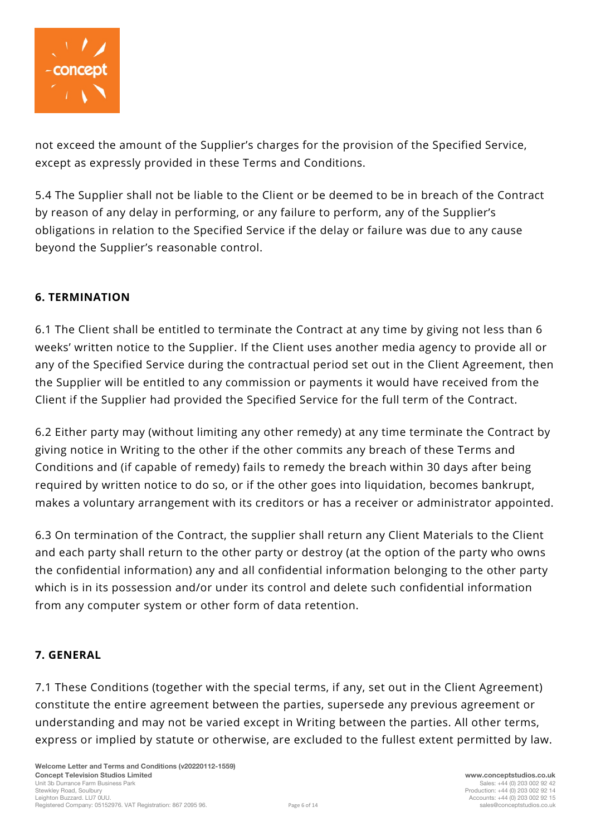

not exceed the amount of the Supplier's charges for the provision of the Specified Service, except as expressly provided in these Terms and Conditions.

5.4 The Supplier shall not be liable to the Client or be deemed to be in breach of the Contract by reason of any delay in performing, or any failure to perform, any of the Supplier's obligations in relation to the Specified Service if the delay or failure was due to any cause beyond the Supplier's reasonable control.

# **6. TERMINATION**

6.1 The Client shall be entitled to terminate the Contract at any time by giving not less than 6 weeks' written notice to the Supplier. If the Client uses another media agency to provide all or any of the Specified Service during the contractual period set out in the Client Agreement, then the Supplier will be entitled to any commission or payments it would have received from the Client if the Supplier had provided the Specified Service for the full term of the Contract.

6.2 Either party may (without limiting any other remedy) at any time terminate the Contract by giving notice in Writing to the other if the other commits any breach of these Terms and Conditions and (if capable of remedy) fails to remedy the breach within 30 days after being required by written notice to do so, or if the other goes into liquidation, becomes bankrupt, makes a voluntary arrangement with its creditors or has a receiver or administrator appointed.

6.3 On termination of the Contract, the supplier shall return any Client Materials to the Client and each party shall return to the other party or destroy (at the option of the party who owns the confidential information) any and all confidential information belonging to the other party which is in its possession and/or under its control and delete such confidential information from any computer system or other form of data retention.

# **7. GENERAL**

7.1 These Conditions (together with the special terms, if any, set out in the Client Agreement) constitute the entire agreement between the parties, supersede any previous agreement or understanding and may not be varied except in Writing between the parties. All other terms, express or implied by statute or otherwise, are excluded to the fullest extent permitted by law.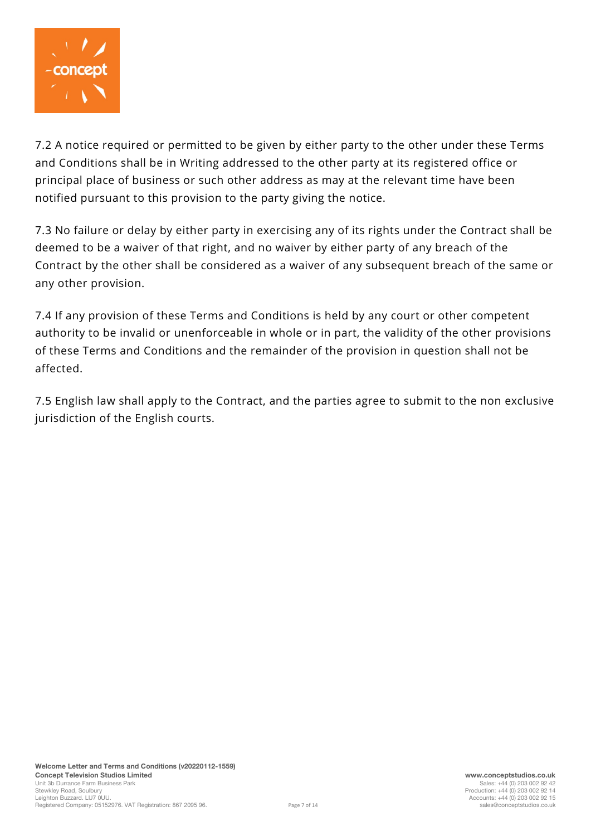

7.2 A notice required or permitted to be given by either party to the other under these Terms and Conditions shall be in Writing addressed to the other party at its registered office or principal place of business or such other address as may at the relevant time have been notified pursuant to this provision to the party giving the notice.

7.3 No failure or delay by either party in exercising any of its rights under the Contract shall be deemed to be a waiver of that right, and no waiver by either party of any breach of the Contract by the other shall be considered as a waiver of any subsequent breach of the same or any other provision.

7.4 If any provision of these Terms and Conditions is held by any court or other competent authority to be invalid or unenforceable in whole or in part, the validity of the other provisions of these Terms and Conditions and the remainder of the provision in question shall not be affected.

7.5 English law shall apply to the Contract, and the parties agree to submit to the non exclusive jurisdiction of the English courts.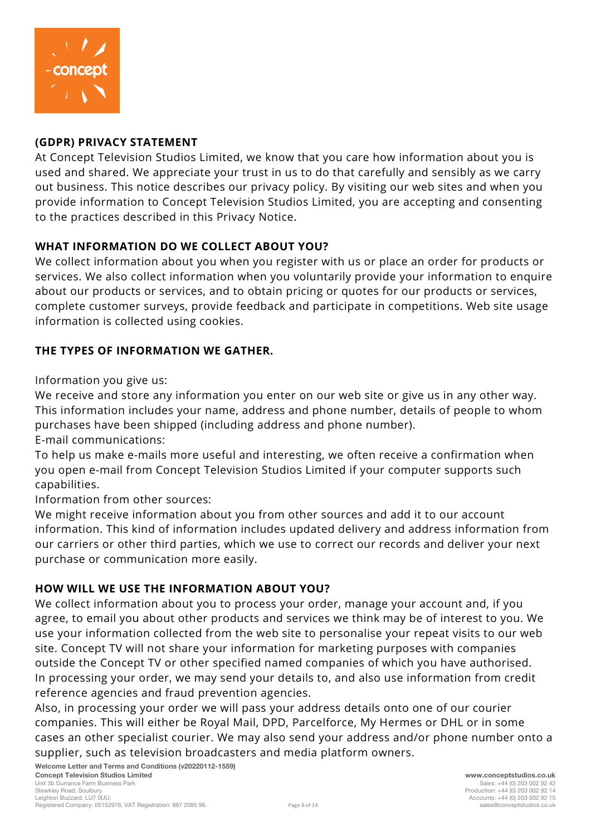

# **(GDPR) PRIVACY STATEMENT**

At Concept Television Studios Limited, we know that you care how information about you is used and shared. We appreciate your trust in us to do that carefully and sensibly as we carry out business. This notice describes our privacy policy. By visiting our web sites and when you provide information to Concept Television Studios Limited, you are accepting and consenting to the practices described in this Privacy Notice.

# **WHAT INFORMATION DO WE COLLECT ABOUT YOU?**

We collect information about you when you register with us or place an order for products or services. We also collect information when you voluntarily provide your information to enquire about our products or services, and to obtain pricing or quotes for our products or services, complete customer surveys, provide feedback and participate in competitions. Web site usage information is collected using cookies.

# **THE TYPES OF INFORMATION WE GATHER.**

Information you give us:

We receive and store any information you enter on our web site or give us in any other way. This information includes your name, address and phone number, details of people to whom purchases have been shipped (including address and phone number).

E-mail communications:

To help us make e-mails more useful and interesting, we often receive a confirmation when you open e-mail from Concept Television Studios Limited if your computer supports such capabilities.

Information from other sources:

We might receive information about you from other sources and add it to our account information. This kind of information includes updated delivery and address information from our carriers or other third parties, which we use to correct our records and deliver your next purchase or communication more easily.

# **HOW WILL WE USE THE INFORMATION ABOUT YOU?**

We collect information about you to process your order, manage your account and, if you agree, to email you about other products and services we think may be of interest to you. We use your information collected from the web site to personalise your repeat visits to our web site. Concept TV will not share your information for marketing purposes with companies outside the Concept TV or other specified named companies of which you have authorised. In processing your order, we may send your details to, and also use information from credit reference agencies and fraud prevention agencies.

Also, in processing your order we will pass your address details onto one of our courier companies. This will either be Royal Mail, DPD, Parcelforce, My Hermes or DHL or in some cases an other specialist courier. We may also send your address and/or phone number onto a supplier, such as television broadcasters and media platform owners.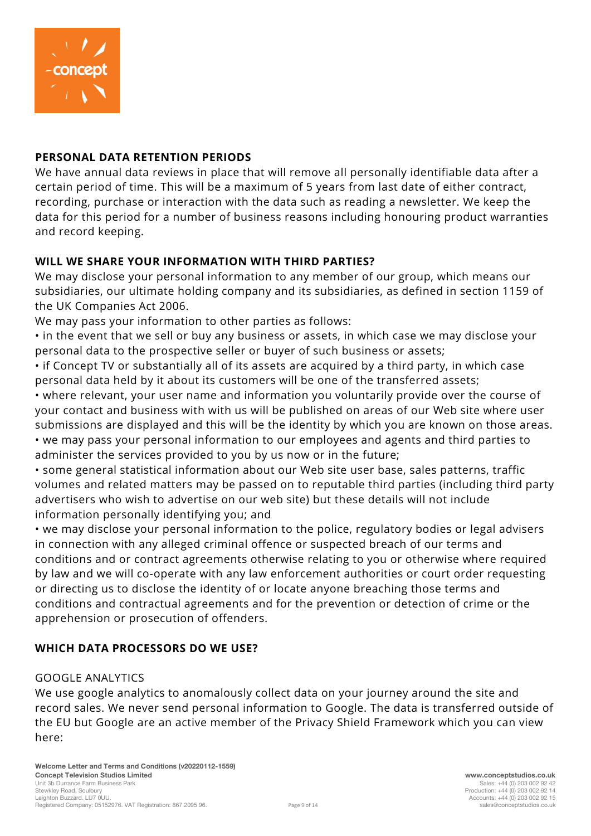

# **PERSONAL DATA RETENTION PERIODS**

We have annual data reviews in place that will remove all personally identifiable data after a certain period of time. This will be a maximum of 5 years from last date of either contract, recording, purchase or interaction with the data such as reading a newsletter. We keep the data for this period for a number of business reasons including honouring product warranties and record keeping.

# **WILL WE SHARE YOUR INFORMATION WITH THIRD PARTIES?**

We may disclose your personal information to any member of our group, which means our subsidiaries, our ultimate holding company and its subsidiaries, as defined in section 1159 of the UK Companies Act 2006.

We may pass your information to other parties as follows:

• in the event that we sell or buy any business or assets, in which case we may disclose your personal data to the prospective seller or buyer of such business or assets;

• if Concept TV or substantially all of its assets are acquired by a third party, in which case personal data held by it about its customers will be one of the transferred assets;

• where relevant, your user name and information you voluntarily provide over the course of your contact and business with with us will be published on areas of our Web site where user submissions are displayed and this will be the identity by which you are known on those areas. • we may pass your personal information to our employees and agents and third parties to administer the services provided to you by us now or in the future;

• some general statistical information about our Web site user base, sales patterns, traffic volumes and related matters may be passed on to reputable third parties (including third party advertisers who wish to advertise on our web site) but these details will not include information personally identifying you; and

• we may disclose your personal information to the police, regulatory bodies or legal advisers in connection with any alleged criminal offence or suspected breach of our terms and conditions and or contract agreements otherwise relating to you or otherwise where required by law and we will co-operate with any law enforcement authorities or court order requesting or directing us to disclose the identity of or locate anyone breaching those terms and conditions and contractual agreements and for the prevention or detection of crime or the apprehension or prosecution of offenders.

# **WHICH DATA PROCESSORS DO WE USE?**

# GOOGLE ANALYTICS

We use google analytics to anomalously collect data on your journey around the site and record sales. We never send personal information to Google. The data is transferred outside of the EU but Google are an active member of the Privacy Shield Framework which you can view here: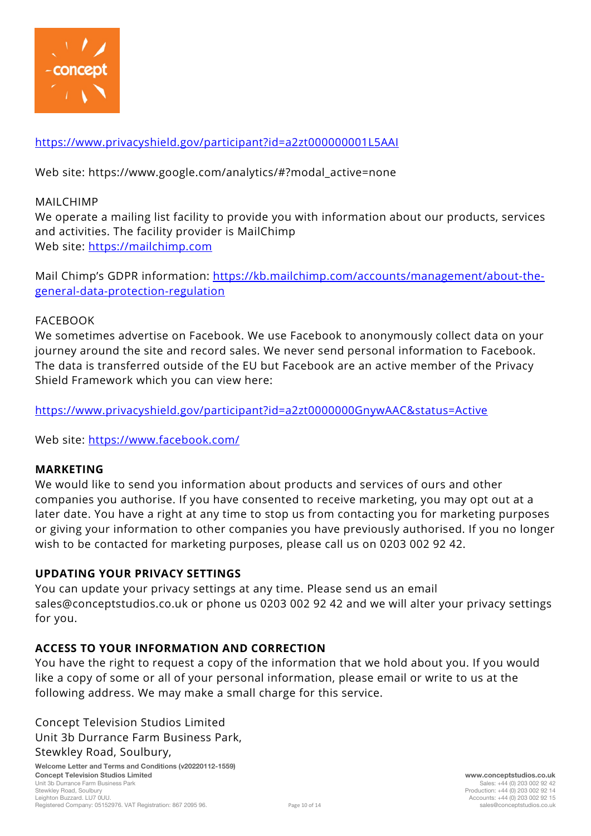

# <https://www.privacyshield.gov/participant?id=a2zt000000001L5AAI>

Web site: https://www.google.com/analytics/#?modal\_active=none

#### MAILCHIMP

We operate a mailing list facility to provide you with information about our products, services and activities. The facility provider is MailChimp Web site: [https://mailchimp.com](https://mailchimp.com/)

Mail Chimp's GDPR information: [https://kb.mailchimp.com/accounts/management/about-the](https://kb.mailchimp.com/accounts/management/about-the-general-data-protection-regulation)[general-data-protection-regulation](https://kb.mailchimp.com/accounts/management/about-the-general-data-protection-regulation)

#### FACEBOOK

We sometimes advertise on Facebook. We use Facebook to anonymously collect data on your journey around the site and record sales. We never send personal information to Facebook. The data is transferred outside of the EU but Facebook are an active member of the Privacy Shield Framework which you can view here:

<https://www.privacyshield.gov/participant?id=a2zt0000000GnywAAC&status=Active>

Web site:<https://www.facebook.com/>

#### **MARKETING**

We would like to send you information about products and services of ours and other companies you authorise. If you have consented to receive marketing, you may opt out at a later date. You have a right at any time to stop us from contacting you for marketing purposes or giving your information to other companies you have previously authorised. If you no longer wish to be contacted for marketing purposes, please call us on 0203 002 92 42.

# **UPDATING YOUR PRIVACY SETTINGS**

You can update your privacy settings at any time. Please send us an email sales@conceptstudios.co.uk or phone us 0203 002 92 42 and we will alter your privacy settings for you.

# **ACCESS TO YOUR INFORMATION AND CORRECTION**

You have the right to request a copy of the information that we hold about you. If you would like a copy of some or all of your personal information, please email or write to us at the following address. We may make a small charge for this service.

Concept Television Studios Limited Unit 3b Durrance Farm Business Park, Stewkley Road, Soulbury,

**Welcome Letter and Terms and Conditions (v20220112-1559) Concept Television Studios Limited www.conceptstudios.co.uk** Unit 3b Durrance Farm Business Park<br>Stewkley Road, Soulbury Leighton Buzzard. LU7 0UU. Accounts: +44 (0) 203 002 92 15 Registered Company: 05152976. VAT Registration: 867 2095 96.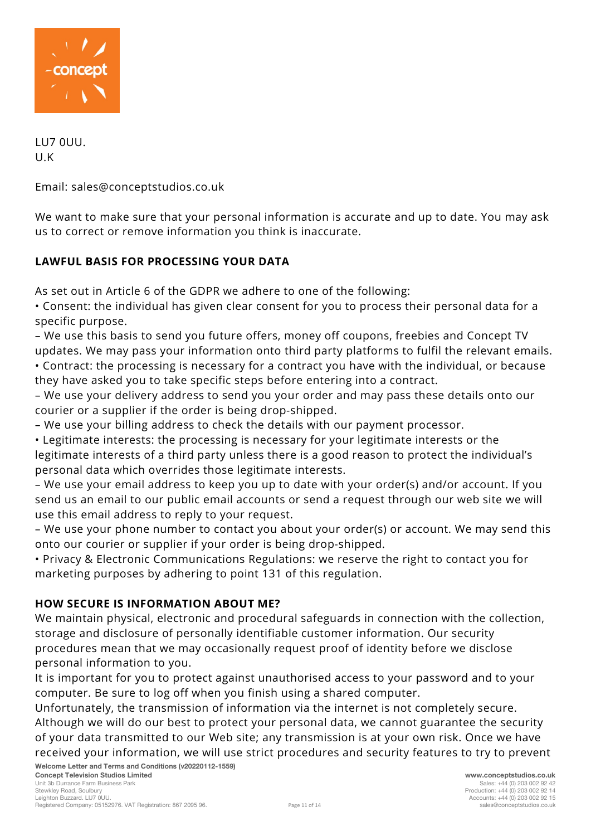

LU7 0UU. U.K

Email: sales@conceptstudios.co.uk

We want to make sure that your personal information is accurate and up to date. You may ask us to correct or remove information you think is inaccurate.

# **LAWFUL BASIS FOR PROCESSING YOUR DATA**

As set out in Article 6 of the GDPR we adhere to one of the following:

• Consent: the individual has given clear consent for you to process their personal data for a specific purpose.

– We use this basis to send you future offers, money off coupons, freebies and Concept TV updates. We may pass your information onto third party platforms to fulfil the relevant emails. • Contract: the processing is necessary for a contract you have with the individual, or because they have asked you to take specific steps before entering into a contract.

– We use your delivery address to send you your order and may pass these details onto our courier or a supplier if the order is being drop-shipped.

– We use your billing address to check the details with our payment processor.

• Legitimate interests: the processing is necessary for your legitimate interests or the legitimate interests of a third party unless there is a good reason to protect the individual's personal data which overrides those legitimate interests.

– We use your email address to keep you up to date with your order(s) and/or account. If you send us an email to our public email accounts or send a request through our web site we will use this email address to reply to your request.

– We use your phone number to contact you about your order(s) or account. We may send this onto our courier or supplier if your order is being drop-shipped.

• Privacy & Electronic Communications Regulations: we reserve the right to contact you for marketing purposes by adhering to point 131 of this regulation.

# **HOW SECURE IS INFORMATION ABOUT ME?**

We maintain physical, electronic and procedural safeguards in connection with the collection, storage and disclosure of personally identifiable customer information. Our security procedures mean that we may occasionally request proof of identity before we disclose personal information to you.

It is important for you to protect against unauthorised access to your password and to your computer. Be sure to log off when you finish using a shared computer.

Unfortunately, the transmission of information via the internet is not completely secure. Although we will do our best to protect your personal data, we cannot guarantee the security of your data transmitted to our Web site; any transmission is at your own risk. Once we have received your information, we will use strict procedures and security features to try to prevent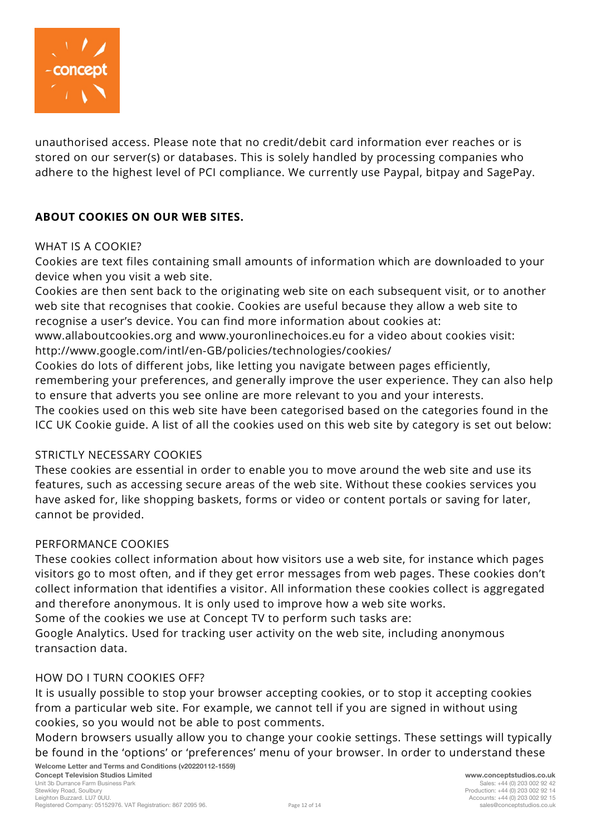

unauthorised access. Please note that no credit/debit card information ever reaches or is stored on our server(s) or databases. This is solely handled by processing companies who adhere to the highest level of PCI compliance. We currently use Paypal, bitpay and SagePay.

### **ABOUT COOKIES ON OUR WEB SITES.**

#### WHAT IS A COOKIE?

Cookies are text files containing small amounts of information which are downloaded to your device when you visit a web site.

Cookies are then sent back to the originating web site on each subsequent visit, or to another web site that recognises that cookie. Cookies are useful because they allow a web site to recognise a user's device. You can find more information about cookies at:

www.allaboutcookies.org and www.youronlinechoices.eu for a video about cookies visit: http://www.google.com/intl/en-GB/policies/technologies/cookies/

Cookies do lots of different jobs, like letting you navigate between pages efficiently, remembering your preferences, and generally improve the user experience. They can also help to ensure that adverts you see online are more relevant to you and your interests.

The cookies used on this web site have been categorised based on the categories found in the ICC UK Cookie guide. A list of all the cookies used on this web site by category is set out below:

#### STRICTLY NECESSARY COOKIES

These cookies are essential in order to enable you to move around the web site and use its features, such as accessing secure areas of the web site. Without these cookies services you have asked for, like shopping baskets, forms or video or content portals or saving for later, cannot be provided.

#### PERFORMANCE COOKIES

These cookies collect information about how visitors use a web site, for instance which pages visitors go to most often, and if they get error messages from web pages. These cookies don't collect information that identifies a visitor. All information these cookies collect is aggregated and therefore anonymous. It is only used to improve how a web site works.

Some of the cookies we use at Concept TV to perform such tasks are:

Google Analytics. Used for tracking user activity on the web site, including anonymous transaction data.

#### HOW DO I TURN COOKIES OFF?

It is usually possible to stop your browser accepting cookies, or to stop it accepting cookies from a particular web site. For example, we cannot tell if you are signed in without using cookies, so you would not be able to post comments.

Modern browsers usually allow you to change your cookie settings. These settings will typically be found in the 'options' or 'preferences' menu of your browser. In order to understand these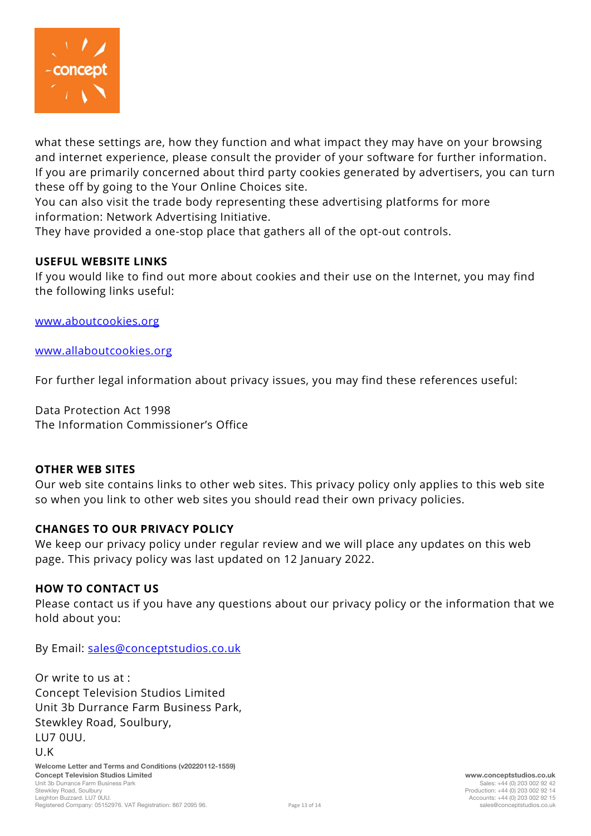

what these settings are, how they function and what impact they may have on your browsing and internet experience, please consult the provider of your software for further information. If you are primarily concerned about third party cookies generated by advertisers, you can turn these off by going to the Your Online Choices site.

You can also visit the trade body representing these advertising platforms for more information: Network Advertising Initiative.

They have provided a one-stop place that gathers all of the opt-out controls.

### **USEFUL WEBSITE LINKS**

If you would like to find out more about cookies and their use on the Internet, you may find the following links useful:

[www.aboutcookies.org](http://www.aboutcookies.org/)

[www.allaboutcookies.org](http://www.allaboutcookies.org/)

For further legal information about privacy issues, you may find these references useful:

Data Protection Act 1998 The Information Commissioner's Office

#### **OTHER WEB SITES**

Our web site contains links to other web sites. This privacy policy only applies to this web site so when you link to other web sites you should read their own privacy policies.

#### **CHANGES TO OUR PRIVACY POLICY**

We keep our privacy policy under regular review and we will place any updates on this web page. This privacy policy was last updated on 12 January 2022.

#### **HOW TO CONTACT US**

Please contact us if you have any questions about our privacy policy or the information that we hold about you:

By Email: [sales@conceptstudios.co.uk](mailto:sales@conceptstudios.co.uk)

**Welcome Letter and Terms and Conditions (v20220112-1559)** Or write to us at : Concept Television Studios Limited Unit 3b Durrance Farm Business Park, Stewkley Road, Soulbury, LU7 0UU. U.K

**Concept Television Studios Limited www.conceptstudios.co.uk** Unit 3b Durrance Farm Business Park<br>Stewkley Road, Soulbury Leighton Buzzard. LU7 0UU. Accounts: +44 (0) 203 002 92 15 Registered Company: 05152976. VAT Registration: 867 2095 96.